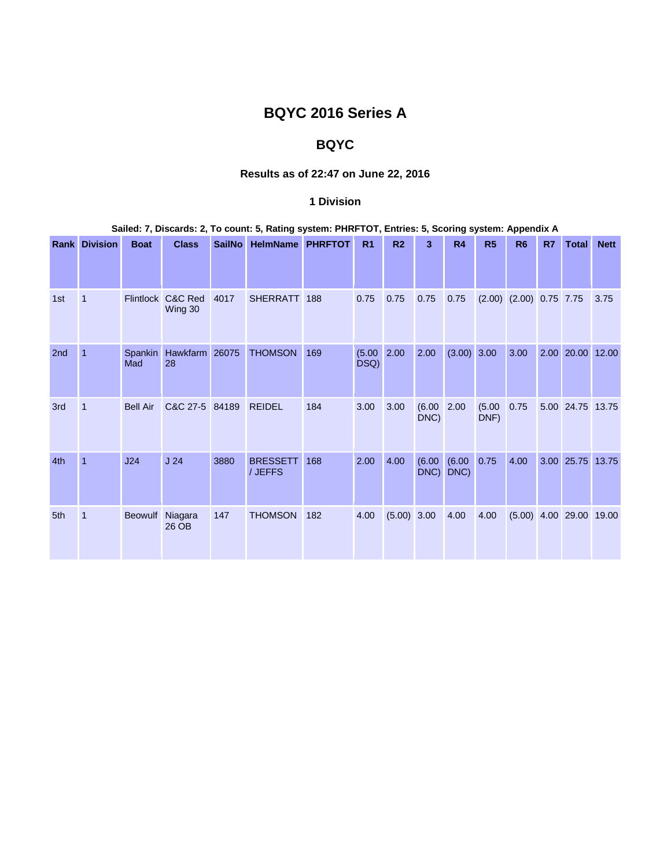# **BQYC 2016 Series A**

## **BQYC**

### **Results as of 22:47 on June 22, 2016**

### **1 Division**

### **Sailed: 7, Discards: 2, To count: 5, Rating system: PHRFTOT, Entries: 5, Scoring system: Appendix A**

|                 | <b>Rank Division</b> | <b>Boat</b>      | <b>Class</b>             | <b>SailNo</b> | <b>HelmName</b>            | <b>PHRFTOT</b> | R <sub>1</sub> | R <sub>2</sub> | 3              | <b>R4</b>      | R <sub>5</sub> | R <sub>6</sub>              | R7 | <b>Total</b>              | <b>Nett</b> |
|-----------------|----------------------|------------------|--------------------------|---------------|----------------------------|----------------|----------------|----------------|----------------|----------------|----------------|-----------------------------|----|---------------------------|-------------|
|                 |                      |                  |                          |               |                            |                |                |                |                |                |                |                             |    |                           |             |
| 1st             | $\overline{1}$       | <b>Flintlock</b> | C&C Red<br>Wing 30       | 4017          | <b>SHERRATT</b>            | 188            | 0.75           | 0.75           | 0.75           | 0.75           |                | $(2.00)$ $(2.00)$ 0.75 7.75 |    |                           | 3.75        |
| 2 <sub>nd</sub> | 1                    | Spankin<br>Mad   | Hawkfarm 26075<br>28     |               | <b>THOMSON</b>             | 169            | (5.00)<br>DSQ) | 2.00           | 2.00           | (3.00) 3.00    |                | 3.00                        |    | 2.00 20.00 12.00          |             |
| 3rd             | $\overline{1}$       | <b>Bell Air</b>  | C&C 27-5                 | 84189         | <b>REIDEL</b>              | 184            | 3.00           | 3.00           | (6.00)<br>DNC) | 2.00           | (5.00)<br>DNF) | 0.75                        |    | 5.00 24.75 13.75          |             |
| 4th             | $\overline{1}$       | J24              | J <sub>24</sub>          | 3880          | <b>BRESSETT</b><br>/ JEFFS | 168            | 2.00           | 4.00           | (6.00)<br>DNC) | (6.00)<br>DNC) | 0.75           | 4.00                        |    | 3.00 25.75 13.75          |             |
| 5th             | $\overline{1}$       |                  | Beowulf Niagara<br>26 OB | 147           | <b>THOMSON</b>             | 182            | 4.00           | $(5.00)$ 3.00  |                | 4.00           | 4.00           |                             |    | $(5.00)$ 4.00 29.00 19.00 |             |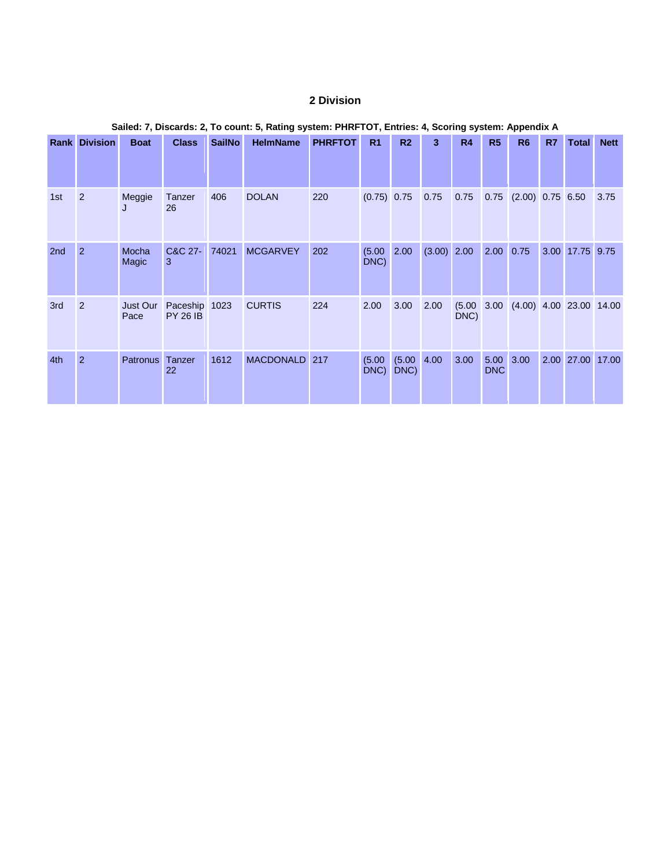### **2 Division**

|     | <b>Rank Division</b> | <b>Boat</b>      | <b>Class</b>                     | <b>SailNo</b> | <b>HelmName</b>  | <b>PHRFTOT</b> | R <sub>1</sub> | R <sub>2</sub>         | 3             | R4             | R <sub>5</sub>     | R <sub>6</sub>                     | R7   | Total            | <b>Nett</b> |
|-----|----------------------|------------------|----------------------------------|---------------|------------------|----------------|----------------|------------------------|---------------|----------------|--------------------|------------------------------------|------|------------------|-------------|
|     |                      |                  |                                  |               |                  |                |                |                        |               |                |                    |                                    |      |                  |             |
| 1st | 2                    | Meggie<br>J      | Tanzer<br>26                     | 406           | <b>DOLAN</b>     | 220            | $(0.75)$ 0.75  |                        | 0.75          | 0.75           |                    | $0.75$ $(2.00)$ $0.75$ 6.50        |      |                  | 3.75        |
| 2nd | $\overline{2}$       | Mocha<br>Magic   | C&C 27-<br>3                     | 74021         | <b>MCGARVEY</b>  | 202            | (5.00)<br>DNC) | 2.00                   | $(3.00)$ 2.00 |                | 2.00               | 0.75                               | 3.00 | 17.75 9.75       |             |
| 3rd | $\overline{2}$       | Just Our<br>Pace | Paceship 1023<br><b>PY 26 IB</b> |               | <b>CURTIS</b>    | 224            | 2.00           | 3.00                   | 2.00          | (5.00)<br>DNC) |                    | $3.00$ $(4.00)$ $4.00$ 23.00 14.00 |      |                  |             |
| 4th | $\overline{2}$       | <b>Patronus</b>  | Tanzer<br>22                     | 1612          | <b>MACDONALD</b> | 217            | (5.00)<br>DNC) | $(5.00 \ 4.00$<br>DNC) |               | 3.00           | 5.00<br><b>DNC</b> | 3.00                               |      | 2.00 27.00 17.00 |             |

### **Sailed: 7, Discards: 2, To count: 5, Rating system: PHRFTOT, Entries: 4, Scoring system: Appendix A**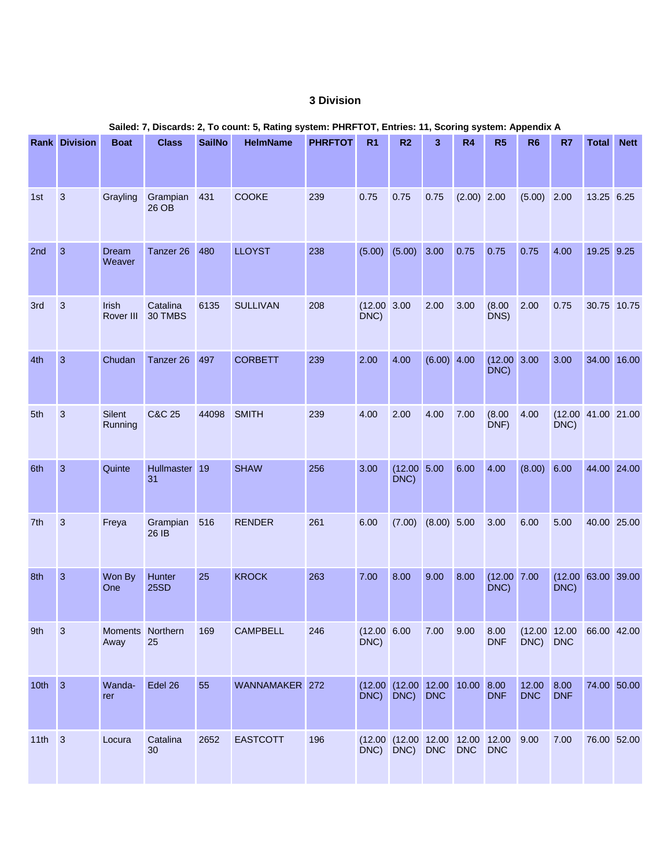### **3 Division**

|          | <b>Rank Division</b> | <b>Boat</b>              | <b>Class</b>          | <b>SailNo</b> | <b>HelmName</b> | <b>PHRFTOT</b> | R <sub>1</sub>          | R <sub>2</sub>                                          | 3             | <b>R4</b>     | R <sub>5</sub>           | R <sub>6</sub>           | R7                               | <b>Total</b> | <b>Nett</b> |
|----------|----------------------|--------------------------|-----------------------|---------------|-----------------|----------------|-------------------------|---------------------------------------------------------|---------------|---------------|--------------------------|--------------------------|----------------------------------|--------------|-------------|
| 1st      | $\mathbf{3}$         | Grayling                 | Grampian<br>26 OB     | 431           | COOKE           | 239            | 0.75                    | 0.75                                                    | 0.75          | $(2.00)$ 2.00 |                          | $(5.00)$ 2.00            |                                  | 13.25 6.25   |             |
| 2nd      | $\overline{3}$       | <b>Dream</b><br>Weaver   | Tanzer 26             | 480           | <b>LLOYST</b>   | 238            | (5.00)                  | $(5.00)$ 3.00                                           |               | 0.75          | 0.75                     | 0.75                     | 4.00                             | 19.25 9.25   |             |
| 3rd      | $\mathbf{3}$         | Irish<br>Rover III       | Catalina<br>30 TMBS   | 6135          | <b>SULLIVAN</b> | 208            | $(12.00 \ 3.00$<br>DNC) |                                                         | 2.00          | 3.00          | (8.00)<br>DNS)           | 2.00                     | 0.75                             | 30.75 10.75  |             |
| 4th      | $\overline{3}$       | Chudan                   | Tanzer 26             | 497           | <b>CORBETT</b>  | 239            | 2.00                    | 4.00                                                    | $(6.00)$ 4.00 |               | $(12.00 \ 3.00$<br>DNC)  |                          | 3.00                             | 34.00 16.00  |             |
| 5th      | $\mathbf{3}$         | Silent<br>Running        | <b>C&amp;C 25</b>     | 44098         | <b>SMITH</b>    | 239            | 4.00                    | 2.00                                                    | 4.00          | 7.00          | (8.00)<br>DNF)           | 4.00                     | (12.00 41.00 21.00<br>DNC)       |              |             |
| 6th      | $\overline{3}$       | Quinte                   | Hullmaster 19<br>31   |               | <b>SHAW</b>     | 256            | 3.00                    | $(12.00 \ 5.00$<br>DNC)                                 |               | 6.00          | 4.00                     | $(8.00)$ 6.00            |                                  | 44.00 24.00  |             |
| 7th      | $\mathbf{3}$         | Freya                    | Grampian<br>26 IB     | 516           | <b>RENDER</b>   | 261            | 6.00                    | (7.00)                                                  | $(8.00)$ 5.00 |               | 3.00                     | 6.00                     | 5.00                             | 40.00 25.00  |             |
| 8th      | $\mathbf{3}$         | Won By<br>One            | Hunter<br><b>25SD</b> | 25            | <b>KROCK</b>    | 263            | 7.00                    | 8.00                                                    | 9.00          | 8.00          | $(12.00 \t 7.00$<br>DNC) |                          | $(12.00 \ 63.00 \ 39.00$<br>DNC) |              |             |
| 9th      | $\mathbf{3}$         | Moments Northern<br>Away | 25                    | 169           | CAMPBELL        | 246            | (12.00 6.00)<br>$DNC$ ) |                                                         | 7.00          | 9.00          | 8.00<br><b>DNF</b>       | DNC) DNC                 | (12.00 12.00 66.00 42.00         |              |             |
| 10th 3   |                      | Wanda-<br>rer            | Edel 26               | 55            | WANNAMAKER 272  |                | $DNC$ )                 | $(12.00 \t (12.00 \t 12.00 \t 10.00 \t 8.00$<br>$DNC$ ) | <b>DNC</b>    |               | <b>DNF</b>               | 12.00 8.00<br><b>DNC</b> | <b>DNF</b>                       | 74.00 50.00  |             |
| $11th$ 3 |                      | Locura                   | Catalina<br>30        | 2652          | <b>EASTCOTT</b> | 196            |                         | (12.00 (12.00 12.00 12.00 12.00<br>DNC) DNC) DNC        |               | <b>DNC</b>    | <b>DNC</b>               | 9.00                     | 7.00                             | 76.00 52.00  |             |

#### **Sailed: 7, Discards: 2, To count: 5, Rating system: PHRFTOT, Entries: 11, Scoring system: Appendix A**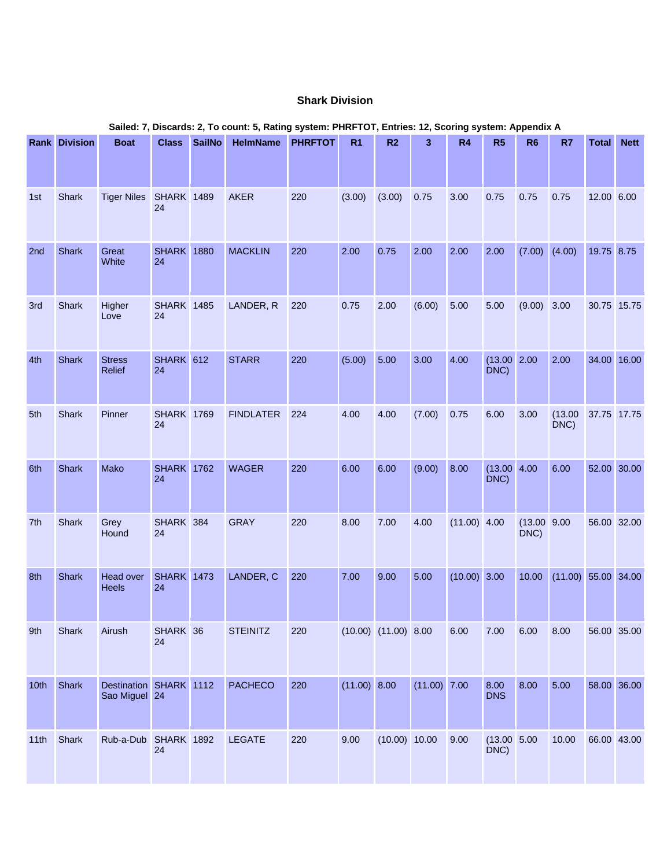### **Shark Division**

|                  | <b>Rank Division</b> | <b>Boat</b>                             | <b>Class</b>            | <b>SailNo</b> | <b>HelmName</b>  | <b>PHRFTOT</b> | R <sub>1</sub> | R2                       | 3              | R4             | R5                      | R <sub>6</sub>       | R7                    | <b>Total</b> | <b>Nett</b> |
|------------------|----------------------|-----------------------------------------|-------------------------|---------------|------------------|----------------|----------------|--------------------------|----------------|----------------|-------------------------|----------------------|-----------------------|--------------|-------------|
|                  |                      |                                         |                         |               |                  |                |                |                          |                |                |                         |                      |                       |              |             |
| 1st              | Shark                | Tiger Niles SHARK 1489                  | 24                      |               | <b>AKER</b>      | 220            | (3.00)         | (3.00)                   | 0.75           | 3.00           | 0.75                    | 0.75                 | 0.75                  | 12.00 6.00   |             |
| 2nd              | Shark                | Great<br>White                          | <b>SHARK</b> 1880<br>24 |               | <b>MACKLIN</b>   | 220            | 2.00           | 0.75                     | 2.00           | 2.00           | 2.00                    | (7.00)               | (4.00)                | 19.75 8.75   |             |
| 3rd              | Shark                | Higher<br>Love                          | <b>SHARK 1485</b><br>24 |               | LANDER, R        | 220            | 0.75           | 2.00                     | (6.00)         | 5.00           | 5.00                    | (9.00)               | 3.00                  | 30.75 15.75  |             |
| 4th              | Shark                | <b>Stress</b><br>Relief                 | SHARK 612<br>24         |               | <b>STARR</b>     | 220            | (5.00)         | 5.00                     | 3.00           | 4.00           | (13.00 2.00<br>DNC)     |                      | 2.00                  | 34.00 16.00  |             |
| 5th              | Shark                | Pinner                                  | <b>SHARK</b> 1769<br>24 |               | <b>FINDLATER</b> | 224            | 4.00           | 4.00                     | (7.00)         | 0.75           | 6.00                    | 3.00                 | (13.00)<br>DNC)       | 37.75 17.75  |             |
| 6th              | <b>Shark</b>         | Mako                                    | <b>SHARK</b> 1762<br>24 |               | <b>WAGER</b>     | 220            | 6.00           | 6.00                     | (9.00)         | 8.00           | $(13.00 \ 4.00$<br>DNC) |                      | 6.00                  | 52.00 30.00  |             |
| 7th              | Shark                | Grey<br>Hound                           | SHARK 384<br>24         |               | <b>GRAY</b>      | 220            | 8.00           | 7.00                     | 4.00           | $(11.00)$ 4.00 |                         | (13.00 9.00)<br>DNC) |                       | 56.00 32.00  |             |
| 8th              | Shark                | Head over<br>Heels                      | <b>SHARK</b> 1473<br>24 |               | LANDER, C        | 220            | 7.00           | 9.00                     | 5.00           | $(10.00)$ 3.00 |                         | 10.00                | $(11.00)$ 55.00 34.00 |              |             |
| 9th              | Shark                | Airush                                  | SHARK 36<br>24          |               | <b>STEINITZ</b>  | 220            |                | $(10.00)$ $(11.00)$ 8.00 |                | 6.00           | 7.00                    | 6.00                 | 8.00                  | 56.00 35.00  |             |
| 10 <sub>th</sub> | Shark                | Destination SHARK 1112<br>Sao Miguel 24 |                         |               | <b>PACHECO</b>   | 220            | (11.00) 8.00   |                          | $(11.00)$ 7.00 |                | 8.00<br><b>DNS</b>      | 8.00                 | 5.00                  |              | 58.00 36.00 |
| 11th             | Shark                | Rub-a-Dub SHARK 1892                    | 24                      |               | <b>LEGATE</b>    | 220            | 9.00           | (10.00) 10.00            |                | 9.00           | (13.00 5.00)<br>DNC)    |                      | 10.00                 | 66.00 43.00  |             |

### **Sailed: 7, Discards: 2, To count: 5, Rating system: PHRFTOT, Entries: 12, Scoring system: Appendix A**